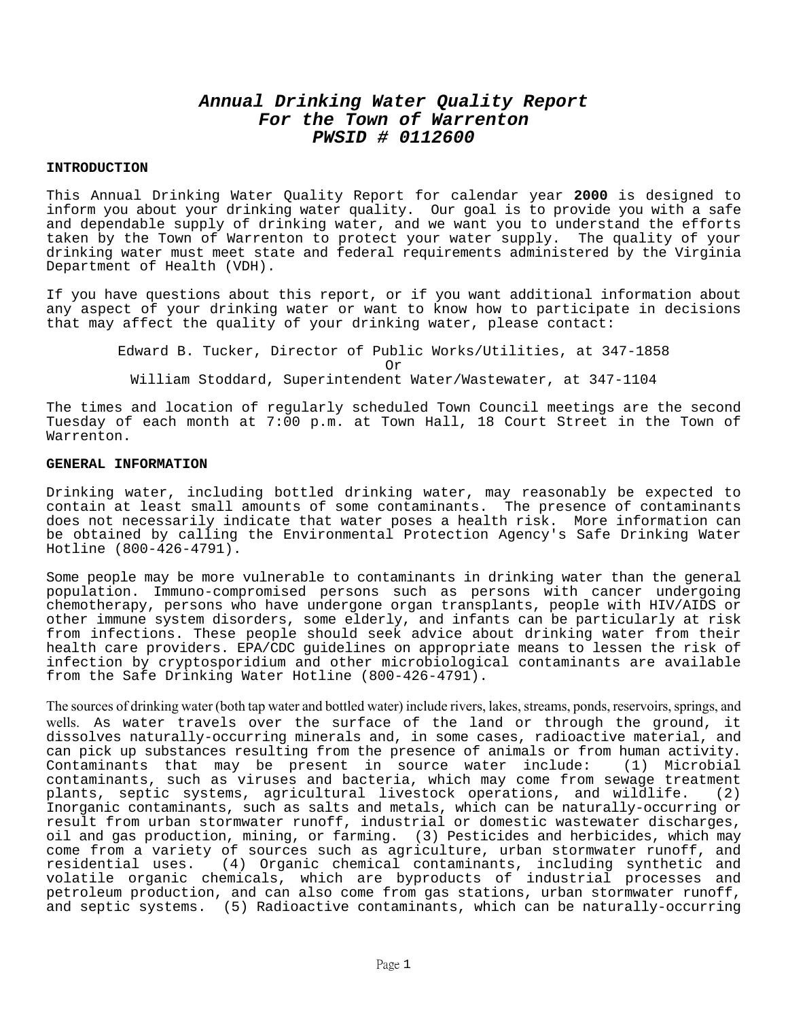# **Annual Drinking Water Quality Report For the Town of Warrenton PWSID # 0112600**

### **INTRODUCTION**

This Annual Drinking Water Quality Report for calendar year **2000** is designed to inform you about your drinking water quality. Our goal is to provide you with a safe and dependable supply of drinking water, and we want you to understand the efforts taken by the Town of Warrenton to protect your water supply. The quality of your drinking water must meet state and federal requirements administered by the Virginia Department of Health (VDH).

If you have questions about this report, or if you want additional information about any aspect of your drinking water or want to know how to participate in decisions that may affect the quality of your drinking water, please contact:

> Edward B. Tucker, Director of Public Works/Utilities, at 347-1858 Or William Stoddard, Superintendent Water/Wastewater, at 347-1104

The times and location of regularly scheduled Town Council meetings are the second Tuesday of each month at 7:00 p.m. at Town Hall, 18 Court Street in the Town of Warrenton.

#### **GENERAL INFORMATION**

Drinking water, including bottled drinking water, may reasonably be expected to contain at least small amounts of some contaminants. The presence of contaminants does not necessarily indicate that water poses a health risk. More information can be obtained by calling the Environmental Protection Agency's Safe Drinking Water Hotline (800-426-4791).

Some people may be more vulnerable to contaminants in drinking water than the general population. Immuno-compromised persons such as persons with cancer undergoing chemotherapy, persons who have undergone organ transplants, people with HIV/AIDS or other immune system disorders, some elderly, and infants can be particularly at risk from infections. These people should seek advice about drinking water from their health care providers. EPA/CDC guidelines on appropriate means to lessen the risk of infection by cryptosporidium and other microbiological contaminants are available from the Safe Drinking Water Hotline (800-426-4791).

The sources of drinking water (both tap water and bottled water) include rivers, lakes, streams, ponds, reservoirs, springs, and wells. As water travels over the surface of the land or through the ground, it dissolves naturally-occurring minerals and, in some cases, radioactive material, and can pick up substances resulting from the presence of animals or from human activity. Contaminants that may be present in source water include: (1) Microbial contaminants, such as viruses and bacteria, which may come from sewage treatment plants, septic systems, agricultural livestock operations, and wildlife. (2) Inorganic contaminants, such as salts and metals, which can be naturally-occurring or result from urban stormwater runoff, industrial or domestic wastewater discharges, oil and gas production, mining, or farming. (3) Pesticides and herbicides, which may come from a variety of sources such as agriculture, urban stormwater runoff, and<br>residential uses. (4) Organic chemical contaminants, including synthetic and (4) Organic chemical contaminants, including synthetic and volatile organic chemicals, which are byproducts of industrial processes and petroleum production, and can also come from gas stations, urban stormwater runoff, and septic systems. (5) Radioactive contaminants, which can be naturally-occurring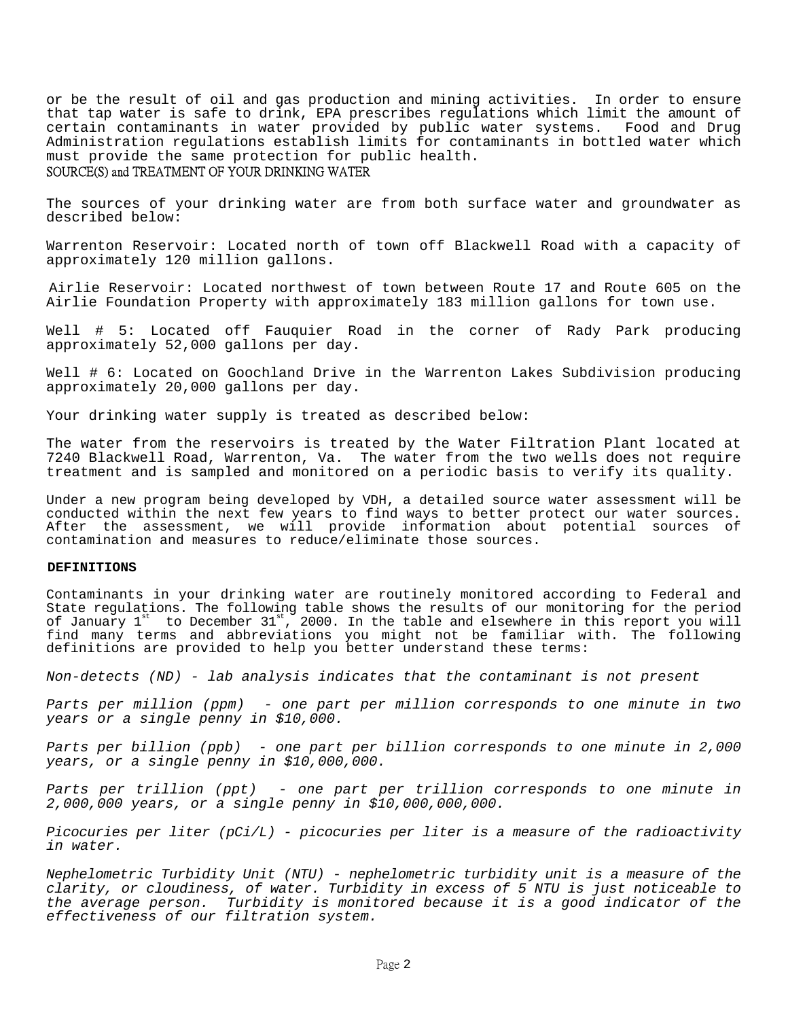or be the result of oil and gas production and mining activities. In order to ensure that tap water is safe to drink, EPA prescribes regulations which limit the amount of certain contaminants in water provided by public water systems. Food and Drug Administration regulations establish limits for contaminants in bottled water which must provide the same protection for public health.

## SOURCE(S) and TREATMENT OF YOUR DRINKING WATER

The sources of your drinking water are from both surface water and groundwater as described below:

Warrenton Reservoir: Located north of town off Blackwell Road with a capacity of approximately 120 million gallons.

 Airlie Reservoir: Located northwest of town between Route 17 and Route 605 on the Airlie Foundation Property with approximately 183 million gallons for town use.

Well # 5: Located off Fauquier Road in the corner of Rady Park producing approximately 52,000 gallons per day.

Well # 6: Located on Goochland Drive in the Warrenton Lakes Subdivision producing approximately 20,000 gallons per day.

Your drinking water supply is treated as described below:

The water from the reservoirs is treated by the Water Filtration Plant located at 7240 Blackwell Road, Warrenton, Va. The water from the two wells does not require treatment and is sampled and monitored on a periodic basis to verify its quality.

Under a new program being developed by VDH, a detailed source water assessment will be conducted within the next few years to find ways to better protect our water sources. After the assessment, we will provide information about potential sources of contamination and measures to reduce/eliminate those sources.

#### **DEFINITIONS**

Contaminants in your drinking water are routinely monitored according to Federal and State regulations. The following table shows the results of our monitoring for the period of January  $1^{st}$  to December  $31^{st}$ , 2000. In the table and elsewhere in this report you will find many terms and abbreviations you might not be familiar with. The following definitions are provided to help you better understand these terms:

Non-detects (ND) - lab analysis indicates that the contaminant is not present

Parts per million (ppm) - one part per million corresponds to one minute in two years or a single penny in \$10,000.

Parts per billion (ppb) - one part per billion corresponds to one minute in 2,000 years, or a single penny in \$10,000,000.

Parts per trillion (ppt) - one part per trillion corresponds to one minute in 2,000,000 years, or a single penny in \$10,000,000,000.

Picocuries per liter  $(pCi/L)$  - picocuries per liter is a measure of the radioactivity in water.

Nephelometric Turbidity Unit (NTU) - nephelometric turbidity unit is a measure of the clarity, or cloudiness, of water. Turbidity in excess of 5 NTU is just noticeable to the average person. Turbidity is monitored because it is a good indicator of the effectiveness of our filtration system.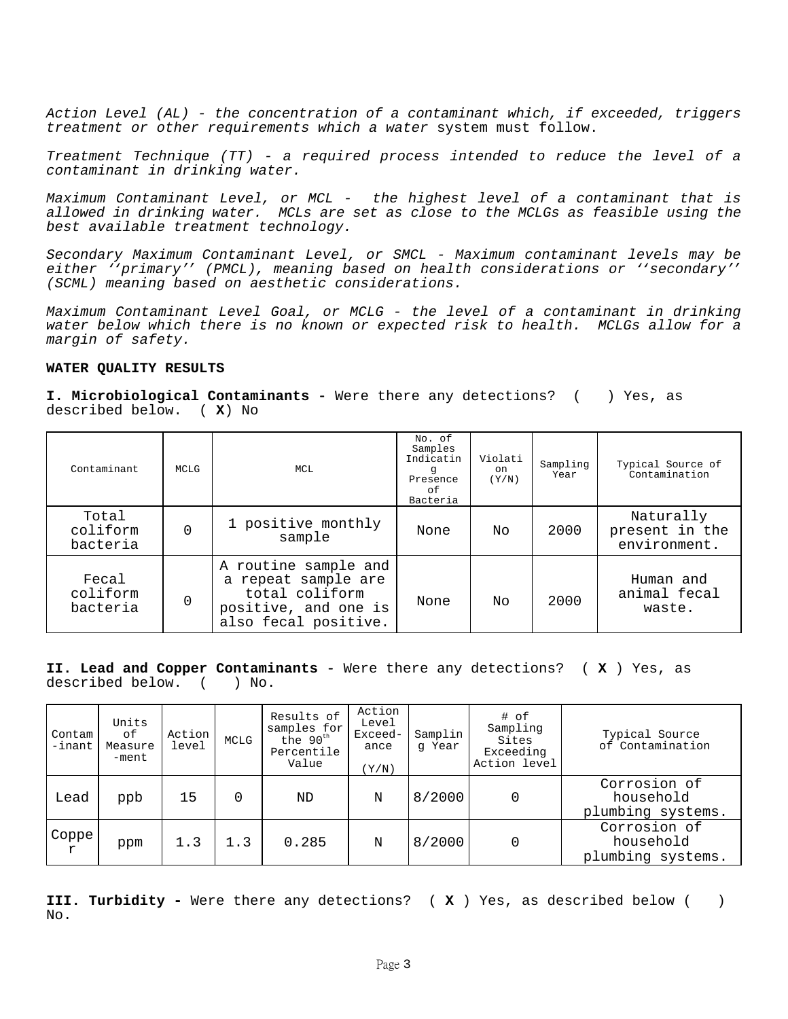Action Level  $(AL)$  - the concentration of a contaminant which, if exceeded, triggers treatment or other requirements which a water system must follow.

Treatment Technique (TT) - a required process intended to reduce the level of a contaminant in drinking water.

Maximum Contaminant Level, or MCL - the highest level of a contaminant that is allowed in drinking water. MCLs are set as close to the MCLGs as feasible using the best available treatment technology.

Secondary Maximum Contaminant Level, or SMCL - Maximum contaminant levels may be either ''primary'' (PMCL), meaning based on health considerations or ''secondary'' (SCML) meaning based on aesthetic considerations.

Maximum Contaminant Level Goal, or MCLG - the level of a contaminant in drinking water below which there is no known or expected risk to health. MCLGs allow for a margin of safety.

### **WATER QUALITY RESULTS**

**I. Microbiological Contaminants** - Were there any detections? ( ) Yes, as described below. ( **X**) No

| Contaminant                   | MCLG         | MCL                                                                                                           | No. of<br>Samples<br>Indicatin<br>q<br>Presence<br>οf<br>Bacteria | Violati<br>on<br>(Y/N) | Sampling<br>Year | Typical Source of<br>Contamination          |
|-------------------------------|--------------|---------------------------------------------------------------------------------------------------------------|-------------------------------------------------------------------|------------------------|------------------|---------------------------------------------|
| Total<br>coliform<br>bacteria | <sup>0</sup> | 1 positive monthly<br>sample                                                                                  | None                                                              | Nο                     | 2000             | Naturally<br>present in the<br>environment. |
| Fecal<br>coliform<br>bacteria | 0            | A routine sample and<br>a repeat sample are<br>total coliform<br>positive, and one is<br>also fecal positive. | None                                                              | Nο                     | 2000             | Human and<br>animal fecal<br>waste.         |

**II. Lead and Copper Contaminants** - Were there any detections? ( **X** ) Yes, as described below. ( ) No.

| Contam<br>$-$ inant   | Units<br>оf<br>Measure<br>-ment | Action<br>level | MCLG     | Results of<br>samples for<br>the 90 <sup>th</sup><br>Percentile<br>Value | Action<br>Level<br>Exceed-<br>ance<br>(Y/N) | Samplin<br>q Year | # of<br>Sampling<br>Sites<br>Exceeding<br>Action level | Typical Source<br>of Contamination             |
|-----------------------|---------------------------------|-----------------|----------|--------------------------------------------------------------------------|---------------------------------------------|-------------------|--------------------------------------------------------|------------------------------------------------|
| Lead                  | ppb                             | 15              | $\Omega$ | ND                                                                       | N                                           | 8/2000            | 0                                                      | Corrosion of<br>household<br>plumbing systems. |
| Coppe<br>$\mathtt{r}$ | ppm                             | 1.3             | 1.3      | 0.285                                                                    | N                                           | 8/2000            | 0                                                      | Corrosion of<br>household<br>plumbing systems. |

**III. Turbidity -** Were there any detections? ( **X** ) Yes, as described below ( ) No.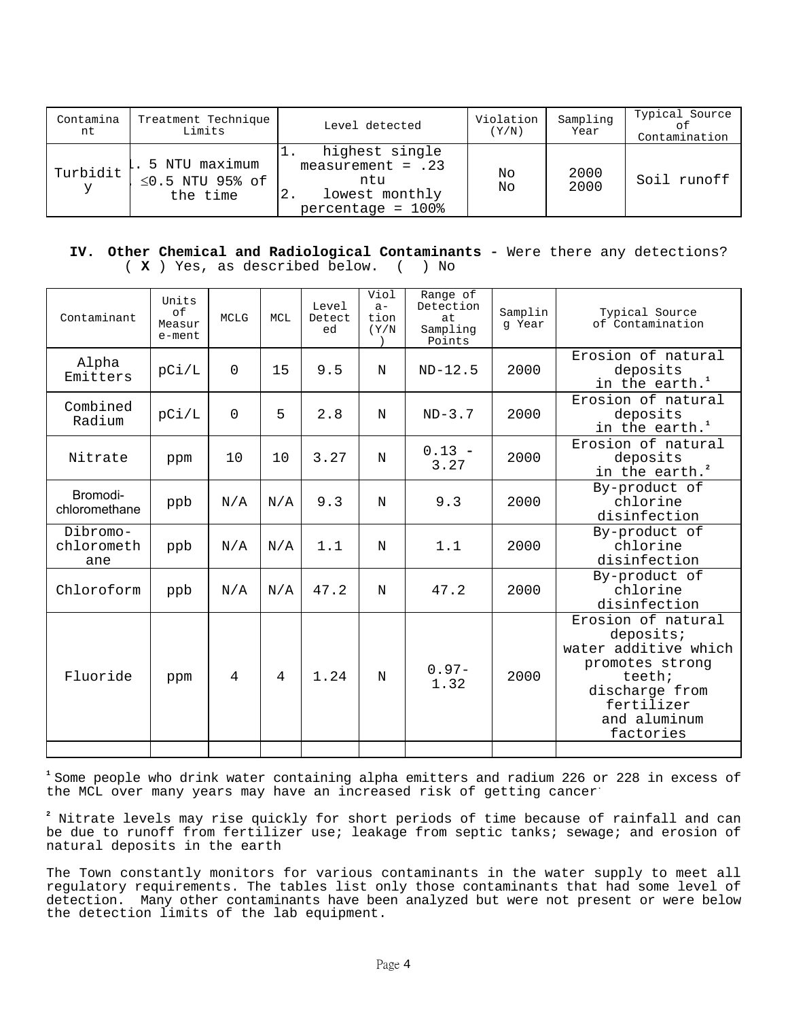| Contamina<br>nt | Treatment Technique<br>Limits                      | Level detected                                                                             | Violation<br>(Y/N) | Sampling<br>Year | Typical Source<br>оf<br>Contamination |
|-----------------|----------------------------------------------------|--------------------------------------------------------------------------------------------|--------------------|------------------|---------------------------------------|
| Turbidit<br>У   | 5 NTU maximum<br>$\leq$ 0.5 NTU 95% of<br>the time | highest single<br>measurement = $.23$<br>ntu<br>lowest monthly<br>2.<br>$percentage = 100$ | No<br>No           | 2000<br>2000     | Soil runoff                           |

## **IV. Other Chemical and Radiological Contaminants** - Were there any detections? ( **X** ) Yes, as described below. ( ) No

| Contaminant                   | Units<br>of<br>Measur<br>e-ment | <b>MCLG</b>    | MCL | Level<br>Detect<br>ed | Viol<br>$a -$<br>tion<br>(Y/N) | Range of<br>Detection<br>at.<br>Sampling<br>Points | Samplin<br>q Year | Typical Source<br>of Contamination                                                                                                                |
|-------------------------------|---------------------------------|----------------|-----|-----------------------|--------------------------------|----------------------------------------------------|-------------------|---------------------------------------------------------------------------------------------------------------------------------------------------|
| Alpha<br>Emitters             | pCi/L                           | $\overline{0}$ | 15  | 9.5                   | $\mathbf N$                    | $ND-12.5$                                          | 2000              | Erosion of natural<br>deposits<br>in the earth. <sup>1</sup>                                                                                      |
| Combined<br>Radium            | pCi/L                           | $\Omega$       | 5   | 2.8                   | $\mathbf N$                    | $ND-3.7$                                           | 2000              | Erosion of natural<br>deposits<br>in the earth. <sup>1</sup>                                                                                      |
| Nitrate                       | ppm                             | 10             | 10  | 3.27                  | $\mathbf N$                    | $0.13 -$<br>3.27                                   | 2000              | Erosion of natural<br>deposits<br>in the earth. <sup>2</sup>                                                                                      |
| Bromodi-<br>chloromethane     | ppb                             | N/A            | N/A | 9.3                   | $\mathbf N$                    | 9.3                                                | 2000              | By-product of<br>chlorine<br>disinfection                                                                                                         |
| Dibromo-<br>chlorometh<br>ane | ppb                             | N/A            | N/A | 1.1                   | N                              | 1.1                                                | 2000              | By-product of<br>chlorine<br>disinfection                                                                                                         |
| Chloroform                    | ppb                             | N/A            | N/A | 47.2                  | N                              | 47.2                                               | 2000              | By-product of<br>chlorine<br>disinfection                                                                                                         |
| Fluoride                      | ppm                             | 4              | 4   | 1.24                  | N                              | $0.97-$<br>1.32                                    | 2000              | Erosion of natural<br>deposits;<br>water additive which<br>promotes strong<br>teeth;<br>discharge from<br>fertilizer<br>and aluminum<br>factories |
|                               |                                 |                |     |                       |                                |                                                    |                   |                                                                                                                                                   |

**<sup>1</sup>**Some people who drink water containing alpha emitters and radium 226 or 228 in excess of the MCL over many years may have an increased risk of getting cancer**.** 

**2** Nitrate levels may rise quickly for short periods of time because of rainfall and can be due to runoff from fertilizer use; leakage from septic tanks; sewage; and erosion of natural deposits in the earth

The Town constantly monitors for various contaminants in the water supply to meet all regulatory requirements. The tables list only those contaminants that had some level of detection. Many other contaminants have been analyzed but were not present or were below the detection limits of the lab equipment.